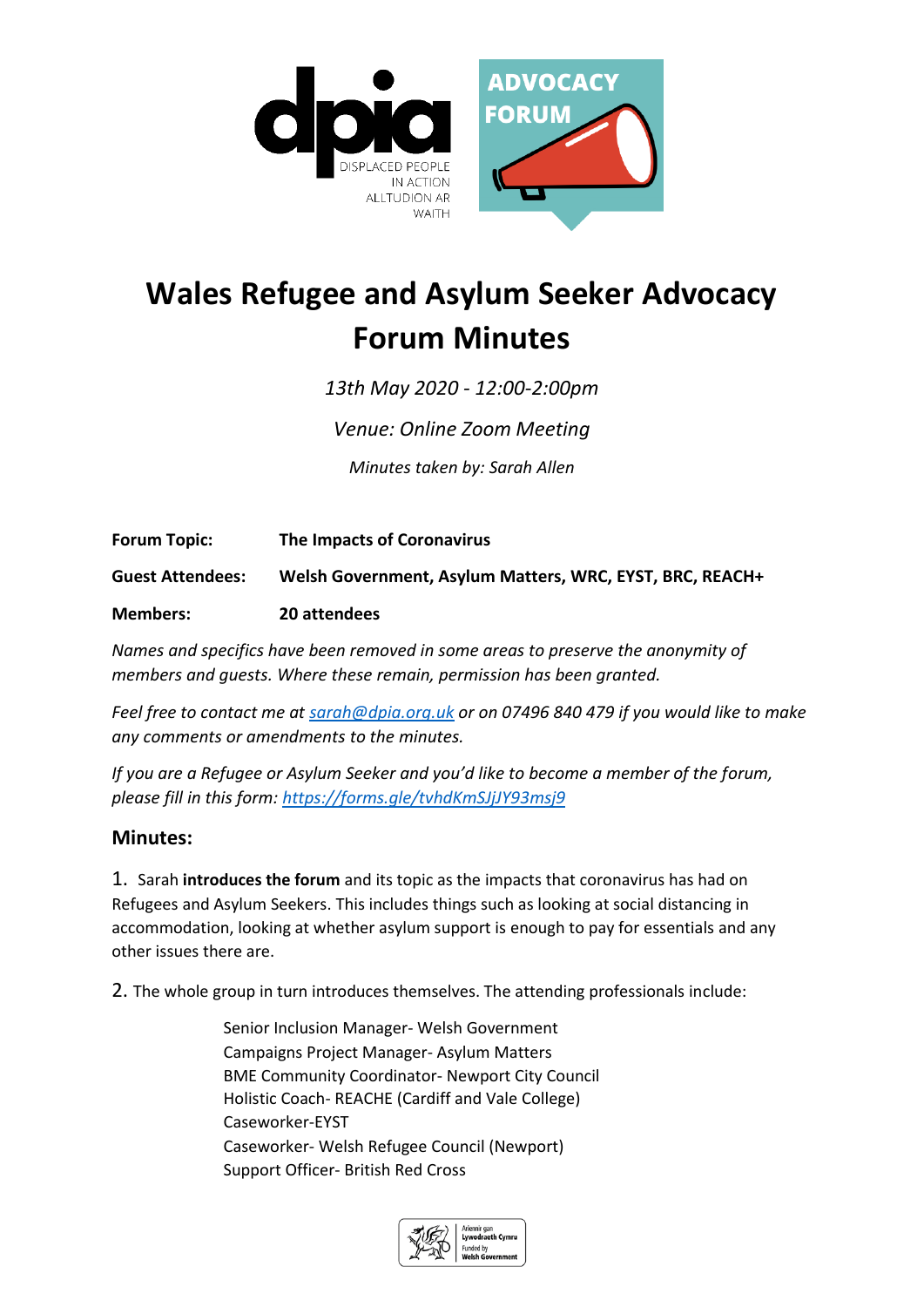

## **Wales Refugee and Asylum Seeker Advocacy Forum Minutes**

*13th May 2020 - 12:00-2:00pm* 

*Venue: Online Zoom Meeting*

*Minutes taken by: Sarah Allen*

**Forum Topic: The Impacts of Coronavirus**

**Guest Attendees: Welsh Government, Asylum Matters, WRC, EYST, BRC, REACH+**

**Members: 20 attendees**

*Names and specifics have been removed in some areas to preserve the anonymity of members and guests. Where these remain, permission has been granted.*

*Feel free to contact me at [sarah@dpia.org.uk](mailto:sarah@dpia.org.uk) or on 07496 840 479 if you would like to make any comments or amendments to the minutes.* 

*If you are a Refugee or Asylum Seeker and you'd like to become a member of the forum, please fill in this form:<https://forms.gle/tvhdKmSJjJY93msj9>*

## **Minutes:**

1. Sarah **introduces the forum** and its topic as the impacts that coronavirus has had on Refugees and Asylum Seekers. This includes things such as looking at social distancing in accommodation, looking at whether asylum support is enough to pay for essentials and any other issues there are.

2. The whole group in turn introduces themselves. The attending professionals include:

Senior Inclusion Manager- Welsh Government Campaigns Project Manager- Asylum Matters BME Community Coordinator- Newport City Council Holistic Coach- REACHE (Cardiff and Vale College) Caseworker-EYST Caseworker- Welsh Refugee Council (Newport) Support Officer- British Red Cross

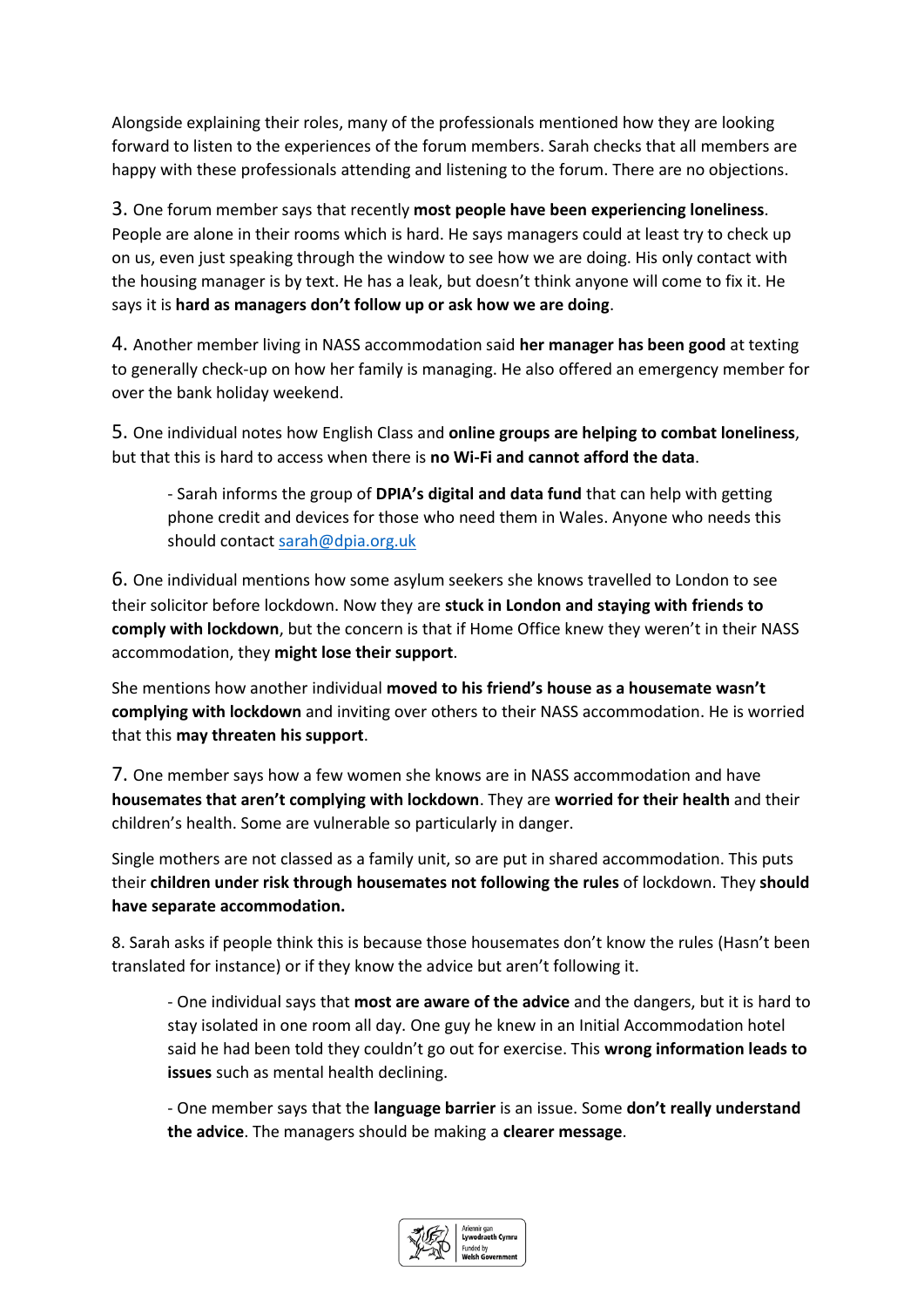Alongside explaining their roles, many of the professionals mentioned how they are looking forward to listen to the experiences of the forum members. Sarah checks that all members are happy with these professionals attending and listening to the forum. There are no objections.

3. One forum member says that recently **most people have been experiencing loneliness**. People are alone in their rooms which is hard. He says managers could at least try to check up on us, even just speaking through the window to see how we are doing. His only contact with the housing manager is by text. He has a leak, but doesn't think anyone will come to fix it. He says it is **hard as managers don't follow up or ask how we are doing**.

4. Another member living in NASS accommodation said **her manager has been good** at texting to generally check-up on how her family is managing. He also offered an emergency member for over the bank holiday weekend.

5. One individual notes how English Class and **online groups are helping to combat loneliness**, but that this is hard to access when there is **no Wi-Fi and cannot afford the data**.

- Sarah informs the group of **DPIA's digital and data fund** that can help with getting phone credit and devices for those who need them in Wales. Anyone who needs this should contac[t sarah@dpia.org.uk](mailto:sarah@dpia.org.uk)

6. One individual mentions how some asylum seekers she knows travelled to London to see their solicitor before lockdown. Now they are **stuck in London and staying with friends to comply with lockdown**, but the concern is that if Home Office knew they weren't in their NASS accommodation, they **might lose their support**.

She mentions how another individual **moved to his friend's house as a housemate wasn't complying with lockdown** and inviting over others to their NASS accommodation. He is worried that this **may threaten his support**.

7. One member says how a few women she knows are in NASS accommodation and have **housemates that aren't complying with lockdown**. They are **worried for their health** and their children's health. Some are vulnerable so particularly in danger.

Single mothers are not classed as a family unit, so are put in shared accommodation. This puts their **children under risk through housemates not following the rules** of lockdown. They **should have separate accommodation.**

8. Sarah asks if people think this is because those housemates don't know the rules (Hasn't been translated for instance) or if they know the advice but aren't following it.

- One individual says that **most are aware of the advice** and the dangers, but it is hard to stay isolated in one room all day. One guy he knew in an Initial Accommodation hotel said he had been told they couldn't go out for exercise. This **wrong information leads to issues** such as mental health declining.

- One member says that the **language barrier** is an issue. Some **don't really understand the advice**. The managers should be making a **clearer message**.

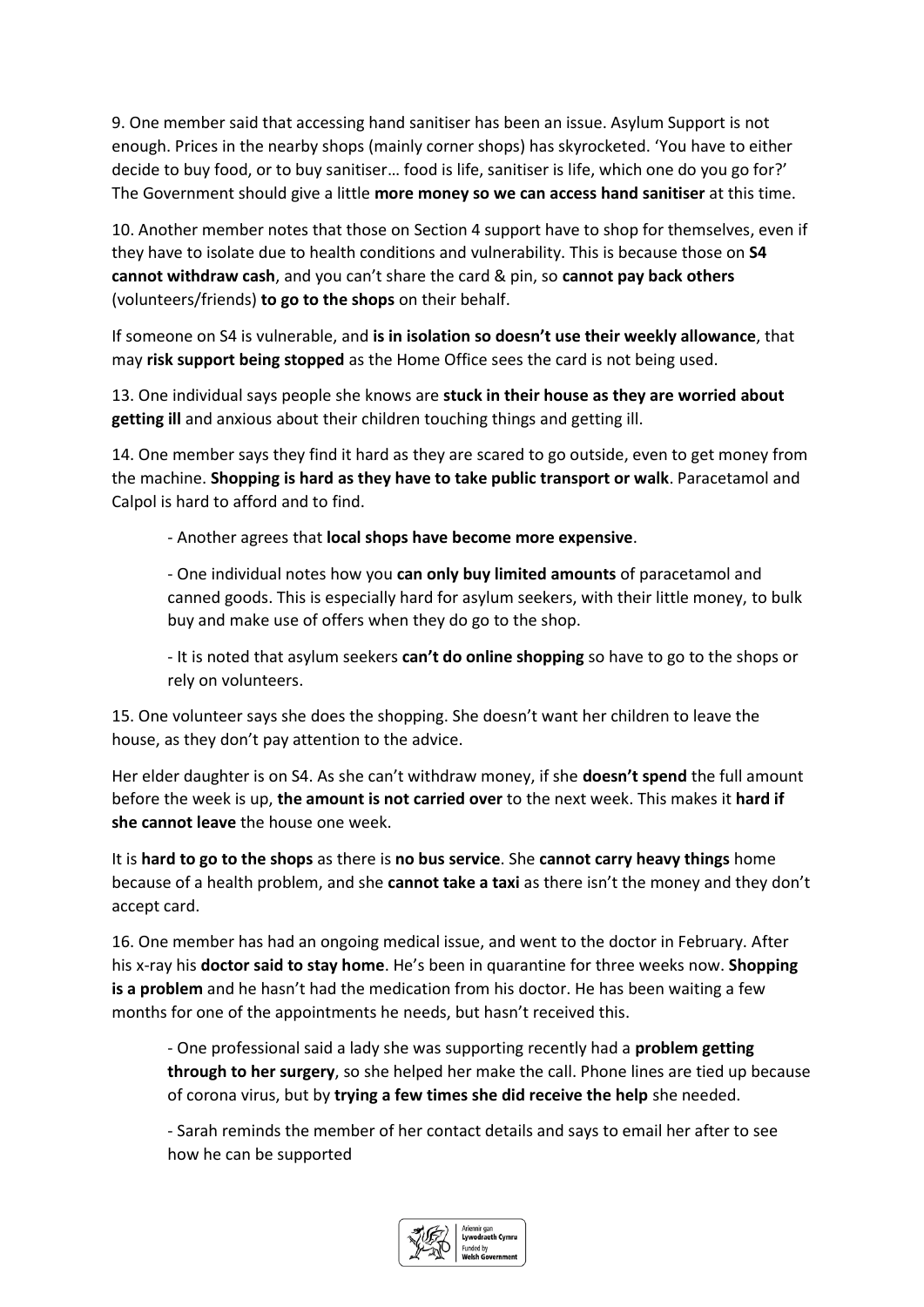9. One member said that accessing hand sanitiser has been an issue. Asylum Support is not enough. Prices in the nearby shops (mainly corner shops) has skyrocketed. 'You have to either decide to buy food, or to buy sanitiser… food is life, sanitiser is life, which one do you go for?' The Government should give a little **more money so we can access hand sanitiser** at this time.

10. Another member notes that those on Section 4 support have to shop for themselves, even if they have to isolate due to health conditions and vulnerability. This is because those on **S4 cannot withdraw cash**, and you can't share the card & pin, so **cannot pay back others** (volunteers/friends) **to go to the shops** on their behalf.

If someone on S4 is vulnerable, and **is in isolation so doesn't use their weekly allowance**, that may **risk support being stopped** as the Home Office sees the card is not being used.

13. One individual says people she knows are **stuck in their house as they are worried about getting ill** and anxious about their children touching things and getting ill.

14. One member says they find it hard as they are scared to go outside, even to get money from the machine. **Shopping is hard as they have to take public transport or walk**. Paracetamol and Calpol is hard to afford and to find.

- Another agrees that **local shops have become more expensive**.

- One individual notes how you **can only buy limited amounts** of paracetamol and canned goods. This is especially hard for asylum seekers, with their little money, to bulk buy and make use of offers when they do go to the shop.

- It is noted that asylum seekers **can't do online shopping** so have to go to the shops or rely on volunteers.

15. One volunteer says she does the shopping. She doesn't want her children to leave the house, as they don't pay attention to the advice.

Her elder daughter is on S4. As she can't withdraw money, if she **doesn't spend** the full amount before the week is up, **the amount is not carried over** to the next week. This makes it **hard if she cannot leave** the house one week.

It is **hard to go to the shops** as there is **no bus service**. She **cannot carry heavy things** home because of a health problem, and she **cannot take a taxi** as there isn't the money and they don't accept card.

16. One member has had an ongoing medical issue, and went to the doctor in February. After his x-ray his **doctor said to stay home**. He's been in quarantine for three weeks now. **Shopping is a problem** and he hasn't had the medication from his doctor. He has been waiting a few months for one of the appointments he needs, but hasn't received this.

- One professional said a lady she was supporting recently had a **problem getting through to her surgery**, so she helped her make the call. Phone lines are tied up because of corona virus, but by **trying a few times she did receive the help** she needed.

- Sarah reminds the member of her contact details and says to email her after to see how he can be supported

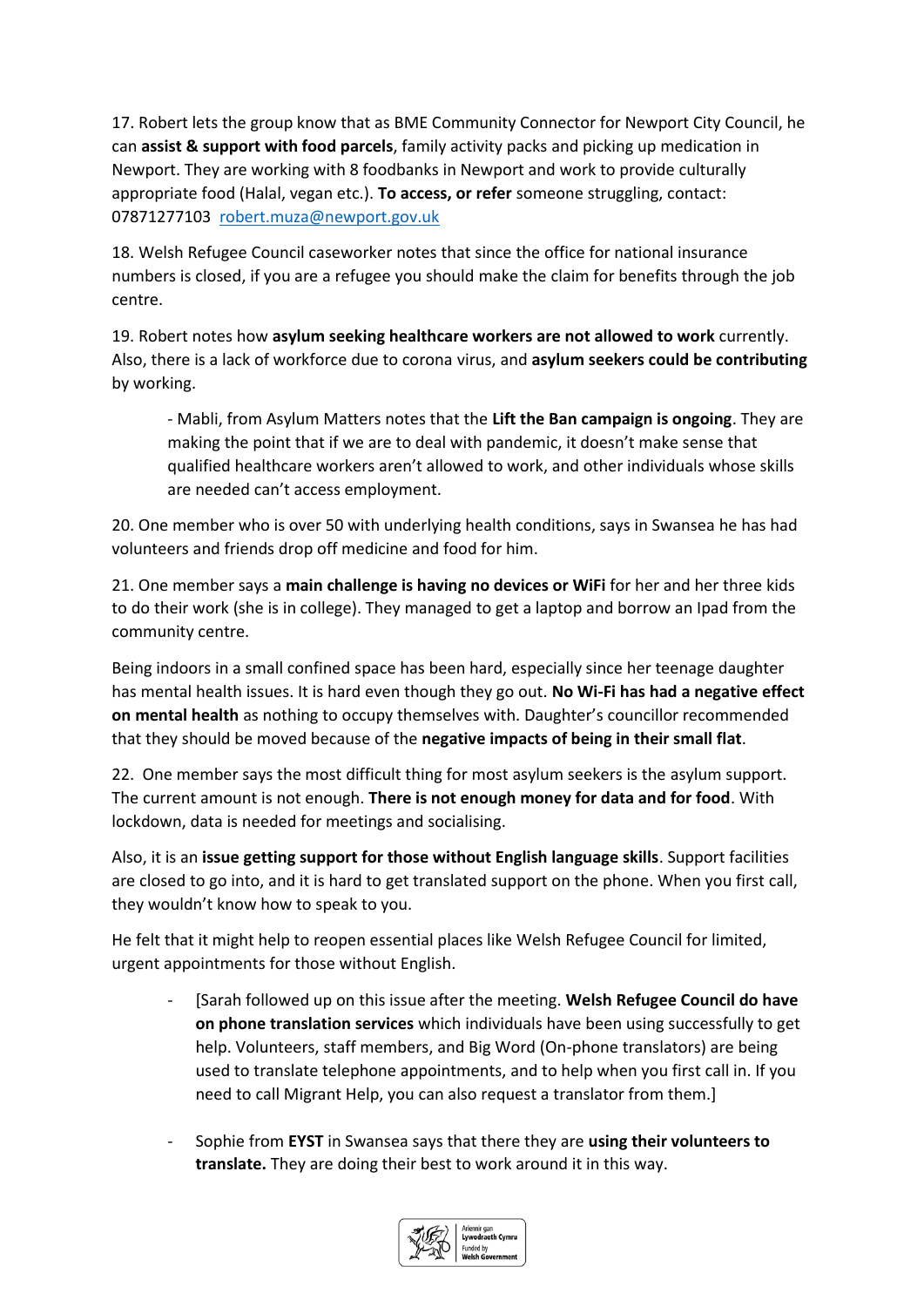17. Robert lets the group know that as BME Community Connector for Newport City Council, he can **assist & support with food parcels**, family activity packs and picking up medication in Newport. They are working with 8 foodbanks in Newport and work to provide culturally appropriate food (Halal, vegan etc.). **To access, or refer** someone struggling, contact: 07871277103 [robert.muza@newport.gov.uk](mailto:robert.muza@newport.gov.uk)

18. Welsh Refugee Council caseworker notes that since the office for national insurance numbers is closed, if you are a refugee you should make the claim for benefits through the job centre.

19. Robert notes how **asylum seeking healthcare workers are not allowed to work** currently. Also, there is a lack of workforce due to corona virus, and **asylum seekers could be contributing** by working.

- Mabli, from Asylum Matters notes that the **Lift the Ban campaign is ongoing**. They are making the point that if we are to deal with pandemic, it doesn't make sense that qualified healthcare workers aren't allowed to work, and other individuals whose skills are needed can't access employment.

20. One member who is over 50 with underlying health conditions, says in Swansea he has had volunteers and friends drop off medicine and food for him.

21. One member says a **main challenge is having no devices or WiFi** for her and her three kids to do their work (she is in college). They managed to get a laptop and borrow an Ipad from the community centre.

Being indoors in a small confined space has been hard, especially since her teenage daughter has mental health issues. It is hard even though they go out. **No Wi-Fi has had a negative effect on mental health** as nothing to occupy themselves with. Daughter's councillor recommended that they should be moved because of the **negative impacts of being in their small flat**.

22. One member says the most difficult thing for most asylum seekers is the asylum support. The current amount is not enough. **There is not enough money for data and for food**. With lockdown, data is needed for meetings and socialising.

Also, it is an **issue getting support for those without English language skills**. Support facilities are closed to go into, and it is hard to get translated support on the phone. When you first call, they wouldn't know how to speak to you.

He felt that it might help to reopen essential places like Welsh Refugee Council for limited, urgent appointments for those without English.

- [Sarah followed up on this issue after the meeting. **Welsh Refugee Council do have on phone translation services** which individuals have been using successfully to get help. Volunteers, staff members, and Big Word (On-phone translators) are being used to translate telephone appointments, and to help when you first call in. If you need to call Migrant Help, you can also request a translator from them.]
- Sophie from **EYST** in Swansea says that there they are **using their volunteers to translate.** They are doing their best to work around it in this way.

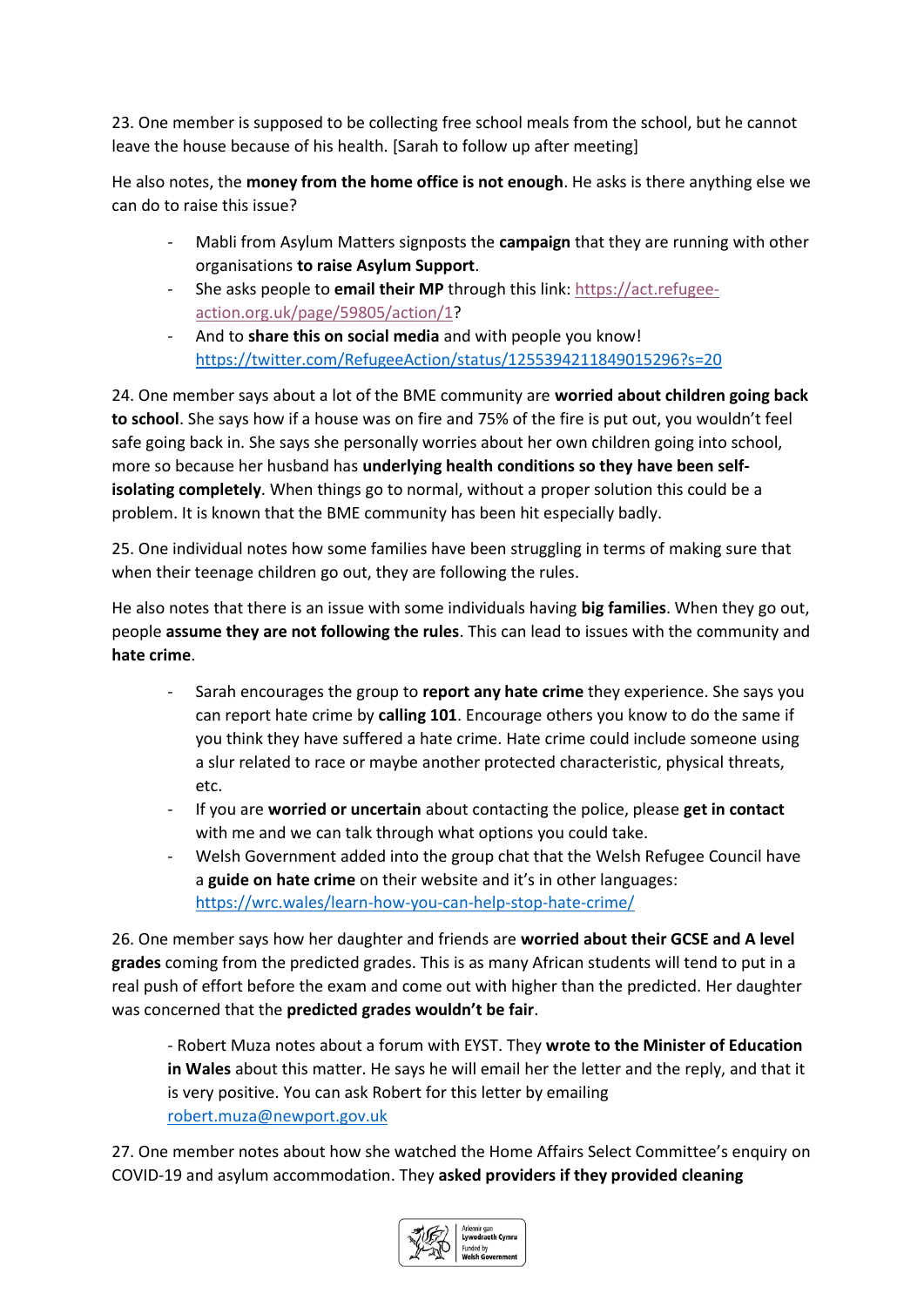23. One member is supposed to be collecting free school meals from the school, but he cannot leave the house because of his health. [Sarah to follow up after meeting]

He also notes, the **money from the home office is not enough**. He asks is there anything else we can do to raise this issue?

- Mabli from Asylum Matters signposts the **campaign** that they are running with other organisations **to raise Asylum Support**.
- She asks people to **email their MP** through this link: [https://act.refugee](https://act.refugee-action.org.uk/page/59805/action/1)[action.org.uk/page/59805/action/1?](https://act.refugee-action.org.uk/page/59805/action/1)
- And to **share this on social media** and with people you know! <https://twitter.com/RefugeeAction/status/1255394211849015296?s=20>

24. One member says about a lot of the BME community are **worried about children going back to school**. She says how if a house was on fire and 75% of the fire is put out, you wouldn't feel safe going back in. She says she personally worries about her own children going into school, more so because her husband has **underlying health conditions so they have been selfisolating completely**. When things go to normal, without a proper solution this could be a problem. It is known that the BME community has been hit especially badly.

25. One individual notes how some families have been struggling in terms of making sure that when their teenage children go out, they are following the rules.

He also notes that there is an issue with some individuals having **big families**. When they go out, people **assume they are not following the rules**. This can lead to issues with the community and **hate crime**.

- Sarah encourages the group to **report any hate crime** they experience. She says you can report hate crime by **calling 101**. Encourage others you know to do the same if you think they have suffered a hate crime. Hate crime could include someone using a slur related to race or maybe another protected characteristic, physical threats, etc.
- If you are **worried or uncertain** about contacting the police, please **get in contact** with me and we can talk through what options you could take.
- Welsh Government added into the group chat that the Welsh Refugee Council have a **guide on hate crime** on their website and it's in other languages: <https://wrc.wales/learn-how-you-can-help-stop-hate-crime/>

26. One member says how her daughter and friends are **worried about their GCSE and A level grades** coming from the predicted grades. This is as many African students will tend to put in a real push of effort before the exam and come out with higher than the predicted. Her daughter was concerned that the **predicted grades wouldn't be fair**.

- Robert Muza notes about a forum with EYST. They **wrote to the Minister of Education in Wales** about this matter. He says he will email her the letter and the reply, and that it is very positive. You can ask Robert for this letter by emailing [robert.muza@newport.gov.uk](mailto:robert.muza@newport.gov.uk)

27. One member notes about how she watched the Home Affairs Select Committee's enquiry on COVID-19 and asylum accommodation. They **asked providers if they provided cleaning**